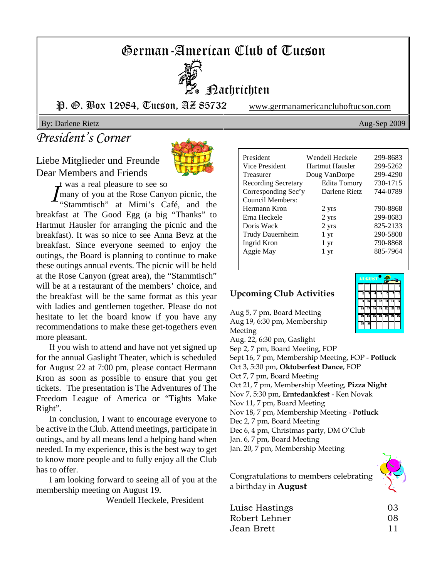# German-American Club of Tucson



Nachrichten

P. O. Box 12984, Tucson, AZ 85732 www.germanamericancluboftucson.com

By: Darlene Rietz Aug-Sep 2009

# *President's Corner*

Liebe Mitglieder und Freunde Dear Members and Friends



t was a real pleasure to see so

*I* many of you at the Rose Canyon picnic, the "Stammtisch" at Mimi's Café, and the breakfast at The Good Egg (a big "Thanks" to Hartmut Hausler for arranging the picnic and the breakfast). It was so nice to see Anna Bevz at the breakfast. Since everyone seemed to enjoy the outings, the Board is planning to continue to make these outings annual events. The picnic will be held at the Rose Canyon (great area), the "Stammtisch" will be at a restaurant of the members' choice, and the breakfast will be the same format as this year with ladies and gentlemen together. Please do not hesitate to let the board know if you have any recommendations to make these get-togethers even more pleasant.

If you wish to attend and have not yet signed up for the annual Gaslight Theater, which is scheduled for August 22 at 7:00 pm, please contact Hermann Kron as soon as possible to ensure that you get tickets. The presentation is The Adventures of The Freedom League of America or "Tights Make Right".

In conclusion, I want to encourage everyone to be active in the Club. Attend meetings, participate in outings, and by all means lend a helping hand when needed. In my experience, this is the best way to get to know more people and to fully enjoy all the Club has to offer.

I am looking forward to seeing all of you at the membership meeting on August 19.

Wendell Heckele, President

| President           | Wendell Heckele | 299-8683 |
|---------------------|-----------------|----------|
| Vice President      | Hartmut Hausler | 299-5262 |
| <b>Treasurer</b>    | Doug VanDorpe   | 299-4290 |
| Recording Secretary | Edita Tomory    | 730-1715 |
| Corresponding Sec'y | Darlene Rietz   | 744-0789 |
| Council Members:    |                 |          |
| Hermann Kron        | 2 yrs           | 790-8868 |
| Erna Heckele        | 2 yrs           | 299-8683 |
| Doris Wack          | 2 yrs           | 825-2133 |
| Trudy Dauernheim    | 1 yr            | 290-5808 |
| Ingrid Kron         | 1 yr            | 790-8868 |
| Aggie May           | 1 yr            | 885-7964 |
|                     |                 |          |

### **Upcoming Club Activities**

Aug 5, 7 pm, Board Meeting Aug 19, 6:30 pm, Membership Meeting Aug. 22, 6:30 pm, Gaslight Sep 2, 7 pm, Board Meeting, FOP Sept 16, 7 pm, Membership Meeting, FOP - **Potluck** Oct 3, 5:30 pm, **Oktoberfest Dance**, FOP Oct 7, 7 pm, Board Meeting Oct 21, 7 pm, Membership Meeting, **Pizza Night** Nov 7, 5:30 pm, **Erntedankfest** - Ken Novak Nov 11, 7 pm, Board Meeting Nov 18, 7 pm, Membership Meeting - **Potluck** Dec 2, 7 pm, Board Meeting Dec 6, 4 pm, Christmas party, DM O'Club Jan. 6, 7 pm, Board Meeting Jan. 20, 7 pm, Membership Meeting

Congratulations to members celebrating a birthday in **August**

| Luise Hastings | 03 |
|----------------|----|
| Robert Lehner  | 08 |
| Jean Brett     | 11 |